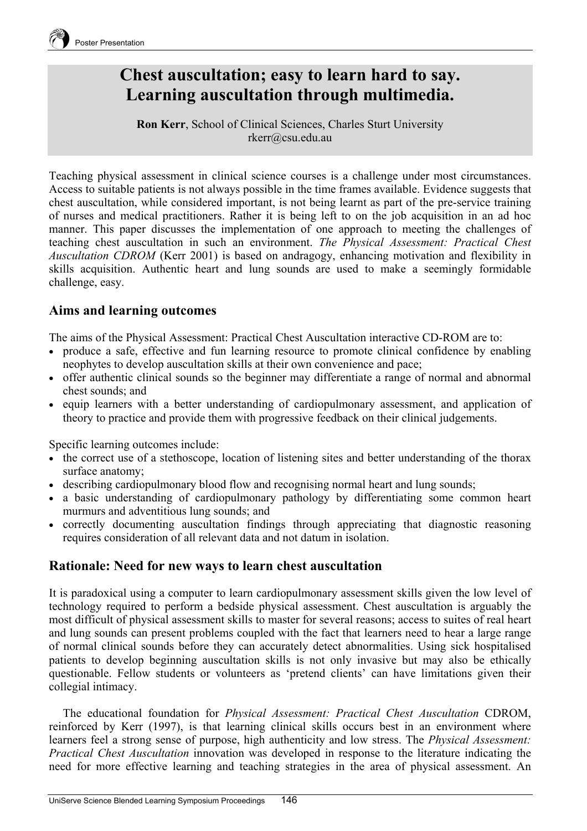

# **Chest auscultation; easy to learn hard to say. Learning auscultation through multimedia.**

**Ron Kerr**, School of Clinical Sciences, Charles Sturt University rkerr@csu.edu.au

Teaching physical assessment in clinical science courses is a challenge under most circumstances. Access to suitable patients is not always possible in the time frames available. Evidence suggests that chest auscultation, while considered important, is not being learnt as part of the pre-service training of nurses and medical practitioners. Rather it is being left to on the job acquisition in an ad hoc manner. This paper discusses the implementation of one approach to meeting the challenges of teaching chest auscultation in such an environment. *The Physical Assessment: Practical Chest Auscultation CDROM* (Kerr 2001) is based on andragogy, enhancing motivation and flexibility in skills acquisition. Authentic heart and lung sounds are used to make a seemingly formidable challenge, easy.

### **Aims and learning outcomes**

The aims of the Physical Assessment: Practical Chest Auscultation interactive CD-ROM are to:

- produce a safe, effective and fun learning resource to promote clinical confidence by enabling neophytes to develop auscultation skills at their own convenience and pace;
- offer authentic clinical sounds so the beginner may differentiate a range of normal and abnormal chest sounds; and
- equip learners with a better understanding of cardiopulmonary assessment, and application of theory to practice and provide them with progressive feedback on their clinical judgements.

Specific learning outcomes include:

- the correct use of a stethoscope, location of listening sites and better understanding of the thorax surface anatomy;
- describing cardiopulmonary blood flow and recognising normal heart and lung sounds;
- a basic understanding of cardiopulmonary pathology by differentiating some common heart murmurs and adventitious lung sounds; and
- correctly documenting auscultation findings through appreciating that diagnostic reasoning requires consideration of all relevant data and not datum in isolation.

### **Rationale: Need for new ways to learn chest auscultation**

It is paradoxical using a computer to learn cardiopulmonary assessment skills given the low level of technology required to perform a bedside physical assessment. Chest auscultation is arguably the most difficult of physical assessment skills to master for several reasons; access to suites of real heart and lung sounds can present problems coupled with the fact that learners need to hear a large range of normal clinical sounds before they can accurately detect abnormalities. Using sick hospitalised patients to develop beginning auscultation skills is not only invasive but may also be ethically questionable. Fellow students or volunteers as 'pretend clients' can have limitations given their collegial intimacy.

The educational foundation for *Physical Assessment: Practical Chest Auscultation* CDROM, reinforced by Kerr (1997), is that learning clinical skills occurs best in an environment where learners feel a strong sense of purpose, high authenticity and low stress. The *Physical Assessment: Practical Chest Auscultation* innovation was developed in response to the literature indicating the need for more effective learning and teaching strategies in the area of physical assessment. An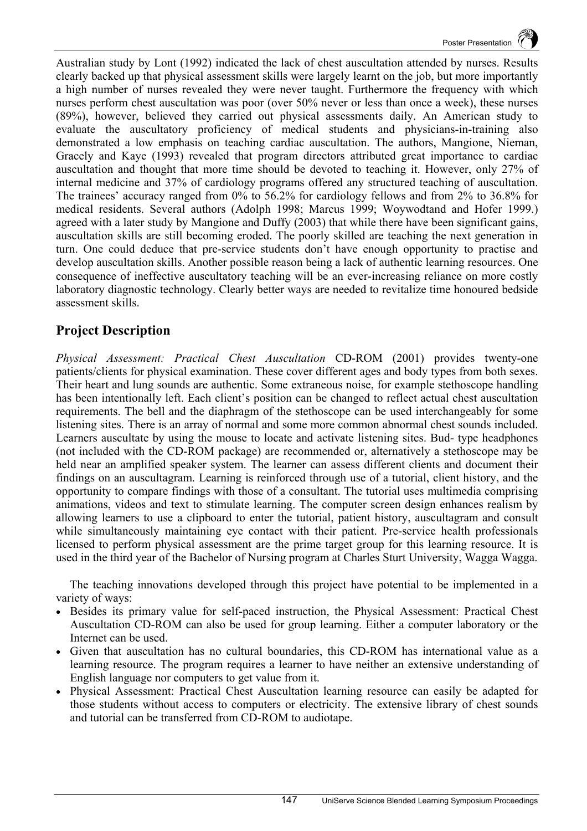Australian study by Lont (1992) indicated the lack of chest auscultation attended by nurses. Results clearly backed up that physical assessment skills were largely learnt on the job, but more importantly a high number of nurses revealed they were never taught. Furthermore the frequency with which nurses perform chest auscultation was poor (over 50% never or less than once a week), these nurses (89%), however, believed they carried out physical assessments daily. An American study to evaluate the auscultatory proficiency of medical students and physicians-in-training also demonstrated a low emphasis on teaching cardiac auscultation. The authors, Mangione, Nieman, Gracely and Kaye (1993) revealed that program directors attributed great importance to cardiac auscultation and thought that more time should be devoted to teaching it. However, only 27% of internal medicine and 37% of cardiology programs offered any structured teaching of auscultation. The trainees' accuracy ranged from 0% to 56.2% for cardiology fellows and from 2% to 36.8% for medical residents. Several authors (Adolph 1998; Marcus 1999; Woywodtand and Hofer 1999.) agreed with a later study by Mangione and Duffy (2003) that while there have been significant gains, auscultation skills are still becoming eroded. The poorly skilled are teaching the next generation in turn. One could deduce that pre-service students don't have enough opportunity to practise and develop auscultation skills. Another possible reason being a lack of authentic learning resources. One consequence of ineffective auscultatory teaching will be an ever-increasing reliance on more costly laboratory diagnostic technology. Clearly better ways are needed to revitalize time honoured bedside assessment skills.

# **Project Description**

*Physical Assessment: Practical Chest Auscultation* CD-ROM (2001) provides twenty-one patients/clients for physical examination. These cover different ages and body types from both sexes. Their heart and lung sounds are authentic. Some extraneous noise, for example stethoscope handling has been intentionally left. Each client's position can be changed to reflect actual chest auscultation requirements. The bell and the diaphragm of the stethoscope can be used interchangeably for some listening sites. There is an array of normal and some more common abnormal chest sounds included. Learners auscultate by using the mouse to locate and activate listening sites. Bud- type headphones (not included with the CD-ROM package) are recommended or, alternatively a stethoscope may be held near an amplified speaker system. The learner can assess different clients and document their findings on an auscultagram. Learning is reinforced through use of a tutorial, client history, and the opportunity to compare findings with those of a consultant. The tutorial uses multimedia comprising animations, videos and text to stimulate learning. The computer screen design enhances realism by allowing learners to use a clipboard to enter the tutorial, patient history, auscultagram and consult while simultaneously maintaining eye contact with their patient. Pre-service health professionals licensed to perform physical assessment are the prime target group for this learning resource. It is used in the third year of the Bachelor of Nursing program at Charles Sturt University, Wagga Wagga.

The teaching innovations developed through this project have potential to be implemented in a variety of ways:

- Besides its primary value for self-paced instruction, the Physical Assessment: Practical Chest Auscultation CD-ROM can also be used for group learning. Either a computer laboratory or the Internet can be used.
- Given that auscultation has no cultural boundaries, this CD-ROM has international value as a learning resource. The program requires a learner to have neither an extensive understanding of English language nor computers to get value from it.
- Physical Assessment: Practical Chest Auscultation learning resource can easily be adapted for those students without access to computers or electricity. The extensive library of chest sounds and tutorial can be transferred from CD-ROM to audiotape.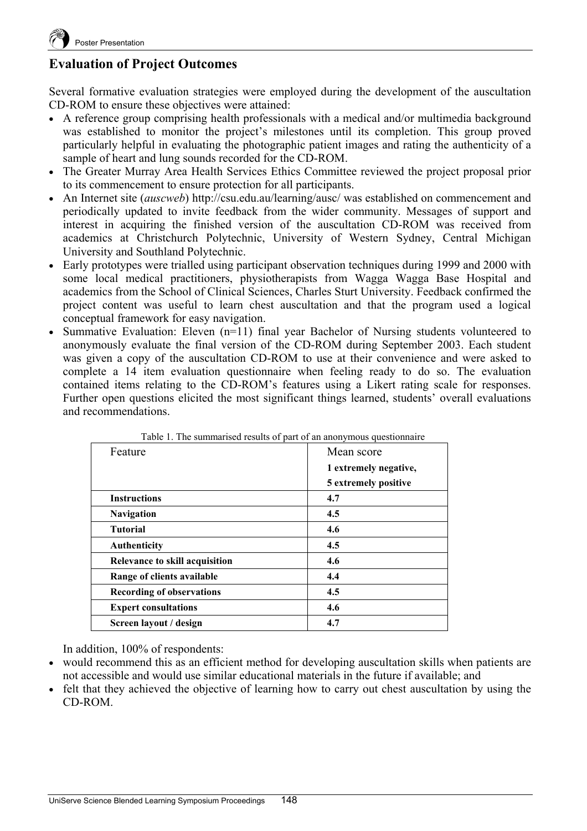# **Evaluation of Project Outcomes**

Several formative evaluation strategies were employed during the development of the auscultation CD-ROM to ensure these objectives were attained:

- A reference group comprising health professionals with a medical and/or multimedia background was established to monitor the project's milestones until its completion. This group proved particularly helpful in evaluating the photographic patient images and rating the authenticity of a sample of heart and lung sounds recorded for the CD-ROM.
- The Greater Murray Area Health Services Ethics Committee reviewed the project proposal prior to its commencement to ensure protection for all participants.
- An Internet site (*auscweb*) http://csu.edu.au/learning/ausc/ was established on commencement and periodically updated to invite feedback from the wider community. Messages of support and interest in acquiring the finished version of the auscultation CD-ROM was received from academics at Christchurch Polytechnic, University of Western Sydney, Central Michigan University and Southland Polytechnic.
- Early prototypes were trialled using participant observation techniques during 1999 and 2000 with some local medical practitioners, physiotherapists from Wagga Wagga Base Hospital and academics from the School of Clinical Sciences, Charles Sturt University. Feedback confirmed the project content was useful to learn chest auscultation and that the program used a logical conceptual framework for easy navigation.
- Summative Evaluation: Eleven (n=11) final year Bachelor of Nursing students volunteered to anonymously evaluate the final version of the CD-ROM during September 2003. Each student was given a copy of the auscultation CD-ROM to use at their convenience and were asked to complete a 14 item evaluation questionnaire when feeling ready to do so. The evaluation contained items relating to the CD-ROM's features using a Likert rating scale for responses. Further open questions elicited the most significant things learned, students' overall evaluations and recommendations.

| Table 1. The summarised results of part of an anonymous questionnanc |                       |
|----------------------------------------------------------------------|-----------------------|
| Feature                                                              | Mean score            |
|                                                                      | 1 extremely negative, |
|                                                                      | 5 extremely positive  |
| <b>Instructions</b>                                                  | 4.7                   |
| <b>Navigation</b>                                                    | 4.5                   |
| <b>Tutorial</b>                                                      | 4.6                   |
| Authenticity                                                         | 4.5                   |
| <b>Relevance to skill acquisition</b>                                | 4.6                   |
| Range of clients available                                           | 4.4                   |
| <b>Recording of observations</b>                                     | 4.5                   |
| <b>Expert consultations</b>                                          | 4.6                   |
| Screen layout / design                                               | 4.7                   |

|  | Table 1. The summarised results of part of an anonymous questionnaire |  |
|--|-----------------------------------------------------------------------|--|
|--|-----------------------------------------------------------------------|--|

In addition, 100% of respondents:

- would recommend this as an efficient method for developing auscultation skills when patients are not accessible and would use similar educational materials in the future if available; and
- felt that they achieved the objective of learning how to carry out chest auscultation by using the CD-ROM.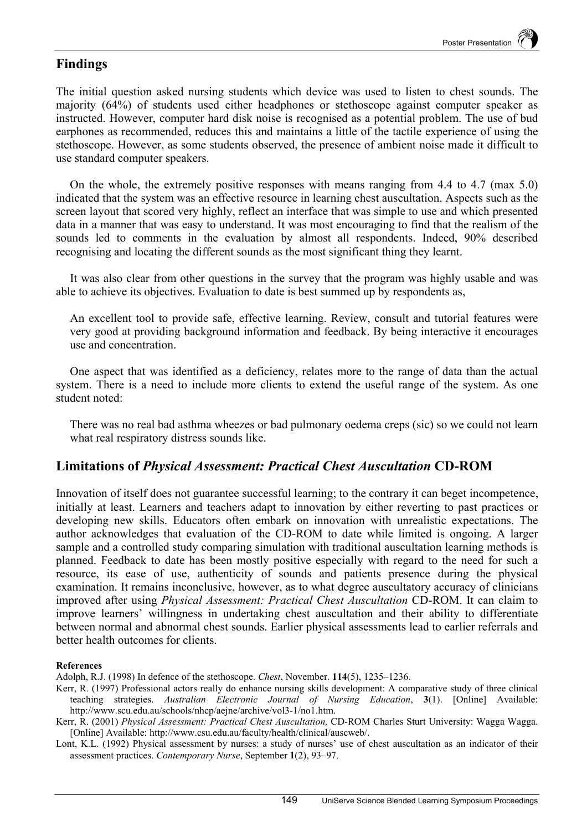#### **Findings**

The initial question asked nursing students which device was used to listen to chest sounds. The majority (64%) of students used either headphones or stethoscope against computer speaker as instructed. However, computer hard disk noise is recognised as a potential problem. The use of bud earphones as recommended, reduces this and maintains a little of the tactile experience of using the stethoscope. However, as some students observed, the presence of ambient noise made it difficult to use standard computer speakers.

On the whole, the extremely positive responses with means ranging from 4.4 to 4.7 (max 5.0) indicated that the system was an effective resource in learning chest auscultation. Aspects such as the screen layout that scored very highly, reflect an interface that was simple to use and which presented data in a manner that was easy to understand. It was most encouraging to find that the realism of the sounds led to comments in the evaluation by almost all respondents. Indeed, 90% described recognising and locating the different sounds as the most significant thing they learnt.

It was also clear from other questions in the survey that the program was highly usable and was able to achieve its objectives. Evaluation to date is best summed up by respondents as,

An excellent tool to provide safe, effective learning. Review, consult and tutorial features were very good at providing background information and feedback. By being interactive it encourages use and concentration.

One aspect that was identified as a deficiency, relates more to the range of data than the actual system. There is a need to include more clients to extend the useful range of the system. As one student noted:

There was no real bad asthma wheezes or bad pulmonary oedema creps (sic) so we could not learn what real respiratory distress sounds like.

#### **Limitations of** *Physical Assessment: Practical Chest Auscultation* **CD-ROM**

Innovation of itself does not guarantee successful learning; to the contrary it can beget incompetence, initially at least. Learners and teachers adapt to innovation by either reverting to past practices or developing new skills. Educators often embark on innovation with unrealistic expectations. The author acknowledges that evaluation of the CD-ROM to date while limited is ongoing. A larger sample and a controlled study comparing simulation with traditional auscultation learning methods is planned. Feedback to date has been mostly positive especially with regard to the need for such a resource, its ease of use, authenticity of sounds and patients presence during the physical examination. It remains inconclusive, however, as to what degree auscultatory accuracy of clinicians improved after using *Physical Assessment: Practical Chest Auscultation* CD-ROM. It can claim to improve learners' willingness in undertaking chest auscultation and their ability to differentiate between normal and abnormal chest sounds. Earlier physical assessments lead to earlier referrals and better health outcomes for clients.

#### **References**

Kerr, R. (1997) Professional actors really do enhance nursing skills development: A comparative study of three clinical teaching strategies. *Australian Electronic Journal of Nursing Education*, **3**(1). [Online] Available: http://www.scu.edu.au/schools/nhcp/aejne/archive/vol3-1/no1.htm.

Lont, K.L. (1992) Physical assessment by nurses: a study of nurses' use of chest auscultation as an indicator of their assessment practices. *Contemporary Nurse*, September **1**(2), 93–97.

Adolph, R.J. (1998) In defence of the stethoscope. *Chest*, November. **114**(5), 1235–1236.

Kerr, R. (2001) *Physical Assessment: Practical Chest Auscultation,* CD-ROM Charles Sturt University: Wagga Wagga. [Online] Available: http://www.csu.edu.au/faculty/health/clinical/auscweb/.